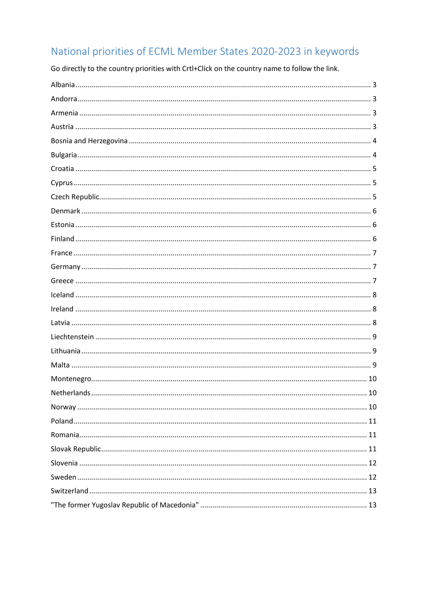# National priorities of ECML Member States 2020-2023 in keywords

Go directly to the country priorities with Crtl+Click on the country name to follow the link.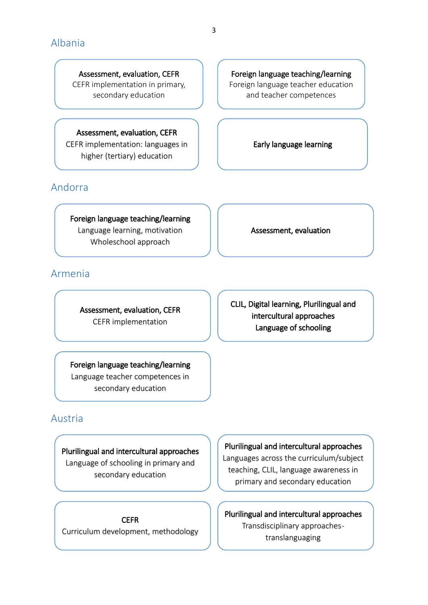<span id="page-2-0"></span>Assessment, evaluation, CEFR CEFR implementation in primary, secondary education

Assessment, evaluation, CEFR CEFR implementation: languages in

higher (tertiary) education

# <span id="page-2-1"></span>Andorra

Foreign language teaching/learning Language learning, motivation Wholeschool approach

<span id="page-2-2"></span>Armenia

Assessment, evaluation, CEFR CEFR implementation

Foreign language teaching/learning Language teacher competences in secondary education

# CLIL, Digital learning, Plurilingual and intercultural approaches Language of schooling

<span id="page-2-3"></span>Austria

Plurilingual and intercultural approaches Language of schooling in primary and secondary education

**CEFR** Curriculum development, methodology

## Plurilingual and intercultural approaches

Languages across the curriculum/subject teaching, CLIL, language awareness in primary and secondary education

Plurilingual and intercultural approaches Transdisciplinary approaches translanguaging

Foreign language teaching/learning Foreign language teacher education and teacher competences

Early language learning

Assessment, evaluation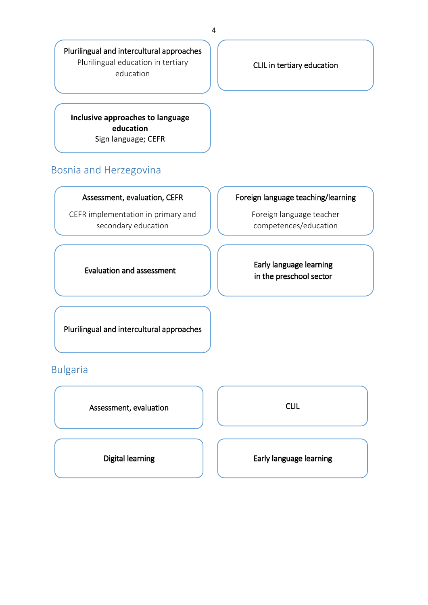Plurilingual and intercultural approaches Plurilingual education in tertiary education

**Inclusive approaches to language education** Sign language; CEFR

## <span id="page-3-0"></span>Bosnia and Herzegovina

#### Assessment, evaluation, CEFR

CEFR implementation in primary and secondary education

CLIL in tertiary education

#### Foreign language teaching/learning

Foreign language teacher competences/education

Evaluation and assessment

Early language learning in the preschool sector

Plurilingual and intercultural approaches

# <span id="page-3-1"></span>Bulgaria

Assessment, evaluation and a set of the CLIL

Digital learning **Early Language learning** Early language learning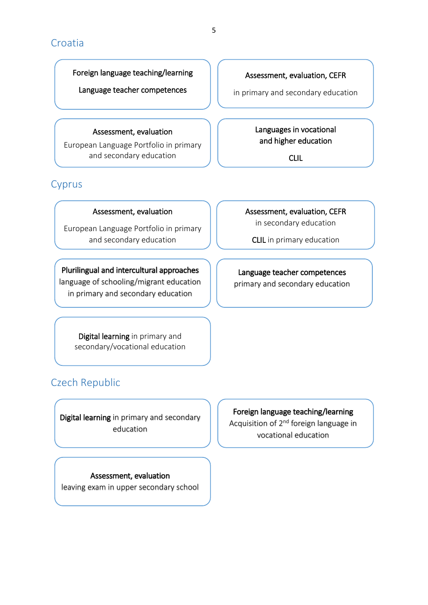## <span id="page-4-0"></span>Croatia

#### Foreign language teaching/learning

Language teacher competences

#### Assessment, evaluation

European Language Portfolio in primary and secondary education

# <span id="page-4-1"></span>Cyprus

#### Assessment, evaluation

European Language Portfolio in primary and secondary education

Plurilingual and intercultural approaches language of schooling/migrant education in primary and secondary education

> Digital learning in primary and secondary/vocational education

# <span id="page-4-2"></span>Czech Republic

Digital learning in primary and secondary education

Assessment, evaluation, CEFR in secondary education

CLIL in primary education

#### Language teacher competences primary and secondary education

Foreign language teaching/learning Acquisition of 2<sup>nd</sup> foreign language in vocational education

## Assessment, evaluation leaving exam in upper secondary school

5

## Assessment, evaluation, CEFR

in primary and secondary education

Languages in vocational and higher education

CLIL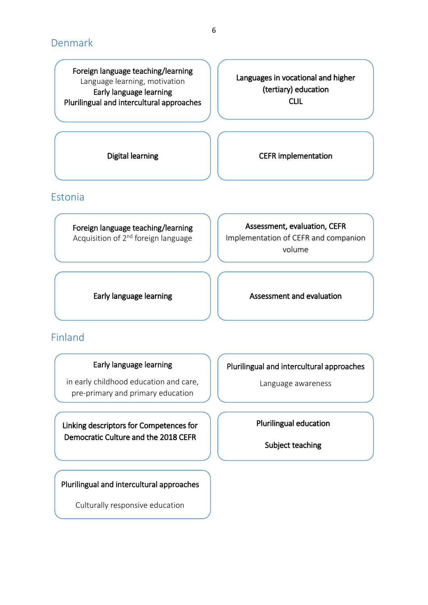# <span id="page-5-0"></span>Denmark

Foreign language teaching/learning Language learning, motivation Early language learning Plurilingual and intercultural approaches

Languages in vocational and higher (tertiary) education CLIL

Digital learning and **CEFR** implementation

## <span id="page-5-1"></span>Estonia

Foreign language teaching/learning Acquisition of 2<sup>nd</sup> foreign language

Assessment, evaluation, CEFR Implementation of CEFR and companion

volume

Early language learning **Assessment and evaluation** 

# <span id="page-5-2"></span>Finland

#### Early language learning

in early childhood education and care, pre-primary and primary education

Linking descriptors for Competences for Democratic Culture and the 2018 CEFR

Plurilingual and intercultural approaches

Culturally responsive education

Plurilingual and intercultural approaches

Language awareness

Plurilingual education

Subject teaching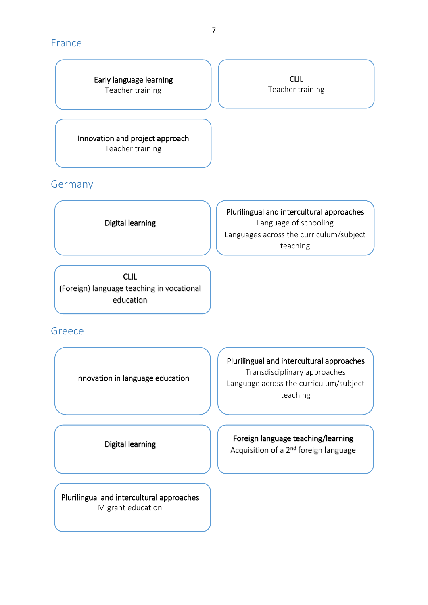## <span id="page-6-0"></span>France

Early language learning Teacher training

Innovation and project approach Teacher training

## <span id="page-6-1"></span>Germany

Digital learning

Plurilingual and intercultural approaches Language of schooling Languages across the curriculum/subject teaching

CLIL Teacher training

CLIL (Foreign) language teaching in vocational education

## <span id="page-6-2"></span>Greece

Innovation in language education

Plurilingual and intercultural approaches Transdisciplinary approaches Language across the curriculum/subject teaching

Digital learning

Plurilingual and intercultural approaches Migrant education

Foreign language teaching/learning

Acquisition of a 2<sup>nd</sup> foreign language

7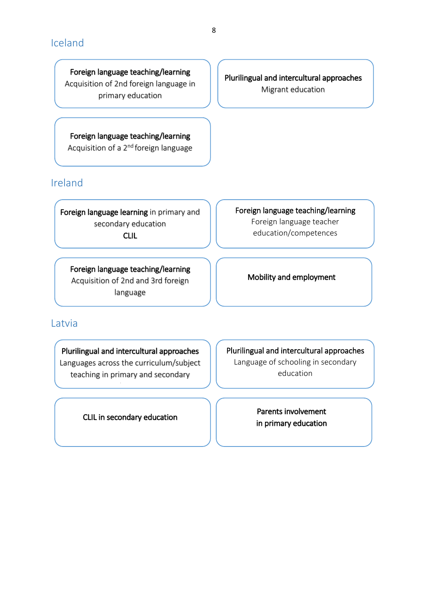<span id="page-7-0"></span>Foreign language teaching/learning Acquisition of 2nd foreign language in primary education

Foreign language teaching/learning Acquisition of a 2nd foreign language

# <span id="page-7-1"></span>Ireland

Foreign language learning in primary and secondary education CLIL

Foreign language teaching/learning Foreign language teacher education/competences

Foreign language teaching/learning Acquisition of 2nd and 3rd foreign language

Mobility and employment

## <span id="page-7-2"></span>Latvia

Plurilingual and intercultural approaches Languages across the curriculum/subject teaching in primary and secondary

education in the control of the control of the control of the control of the control of the control of the control of the control of the control of the control of the control of the control of the control of the control of

CLIL in secondary education

Plurilingual and intercultural approaches Language of schooling in secondary education

> Parents involvement in primary education

Plurilingual and intercultural approaches Migrant education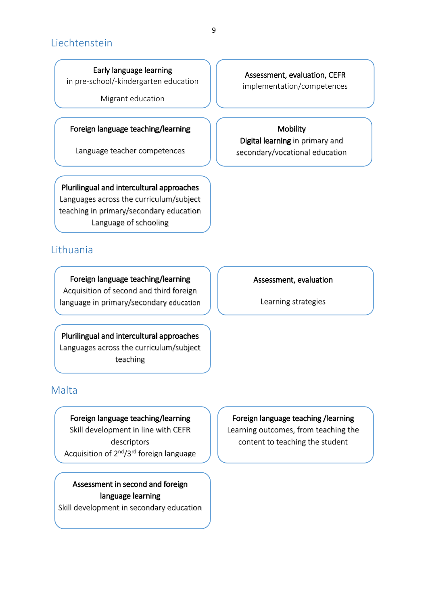## <span id="page-8-0"></span>Liechtenstein

Early language learning

in pre-school/-kindergarten education

Migrant education

#### Foreign language teaching/learning

Language teacher competences

Plurilingual and intercultural approaches Languages across the curriculum/subject teaching in primary/secondary education Language of schooling

## <span id="page-8-1"></span>Lithuania

Foreign language teaching/learning Acquisition of second and third foreign language in primary/secondary education

Plurilingual and intercultural approaches Languages across the curriculum/subject teaching

## <span id="page-8-2"></span>Malta

Foreign language teaching/learning Skill development in line with CEFR descriptors Acquisition of 2nd/3rd foreign language

Assessment in second and foreign language learning Skill development in secondary education

## Assessment, evaluation, CEFR

implementation/competences

#### **Mobility**

Digital learning in primary and secondary/vocational education

#### Assessment, evaluation

Learning strategies

#### Foreign language teaching /learning

Learning outcomes, from teaching the content to teaching the student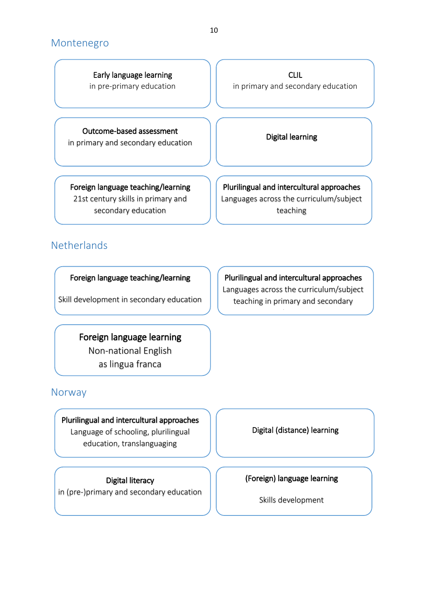## <span id="page-9-0"></span>Montenegro

Early language learning in pre-primary education

Outcome-based assessment in primary and secondary education Digital learning

CLIL in primary and secondary education

Foreign language teaching/learning 21st century skills in primary and secondary education

Plurilingual and intercultural approaches Languages across the curriculum/subject teaching

# <span id="page-9-1"></span>**Netherlands**

Foreign language teaching/learning

Skill development in secondary education

Foreign language learning Non-national English as lingua franca

# <span id="page-9-2"></span>**Norway**

Plurilingual and intercultural approaches

Language of schooling, plurilingual education, translanguaging

Digital literacy in (pre-)primary and secondary education

Plurilingual and intercultural approaches Languages across the curriculum/subject teaching in primary and secondary

education in the control of the control of the control of the control of the control of the control of the control of the control of the control of the control of the control of the control of the control of the control of

Digital (distance) learning

## (Foreign) language learning

Skills development

10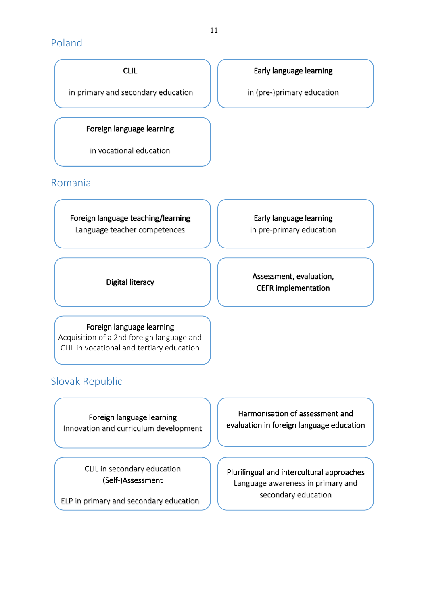# <span id="page-10-0"></span>Poland

CLIL

in primary and secondary education

#### Foreign language learning

in vocational education

## <span id="page-10-1"></span>Romania

Foreign language teaching/learning Language teacher competences

Early language learning in pre-primary education

Digital literacy **Assessment, evaluation,** CEFR implementation

#### Foreign language learning

Acquisition of a 2nd foreign language and CLIL in vocational and tertiary education

# <span id="page-10-2"></span>Slovak Republic

Foreign language learning Innovation and curriculum development

> CLIL in secondary education (Self-)Assessment

ELP in primary and secondary education

Harmonisation of assessment and evaluation in foreign language education

Plurilingual and intercultural approaches Language awareness in primary and secondary education

in (pre-)primary education

Early language learning

11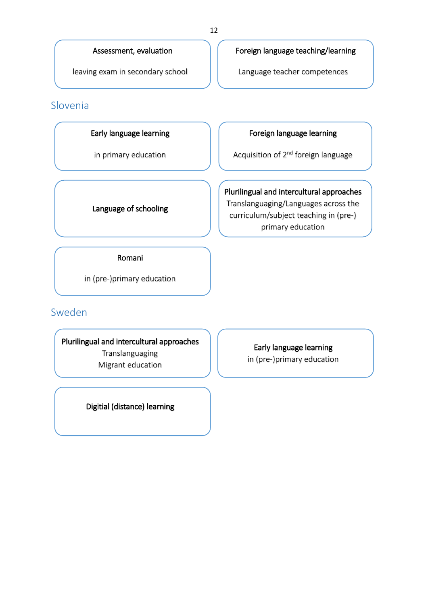#### Assessment, evaluation

leaving exam in secondary school

## <span id="page-11-0"></span>Slovenia

#### Early language learning

in primary education

#### Foreign language teaching/learning

Language teacher competences

## Foreign language learning

Acquisition of 2nd foreign language

# Plurilingual and intercultural approaches

Translanguaging/Languages across the curriculum/subject teaching in (pre-) primary education

Romani

Language of schooling

in (pre-)primary education

<span id="page-11-1"></span>Sweden

Plurilingual and intercultural approaches Translanguaging Migrant education

Early language learning in (pre-)primary education

Digitial (distance) learning